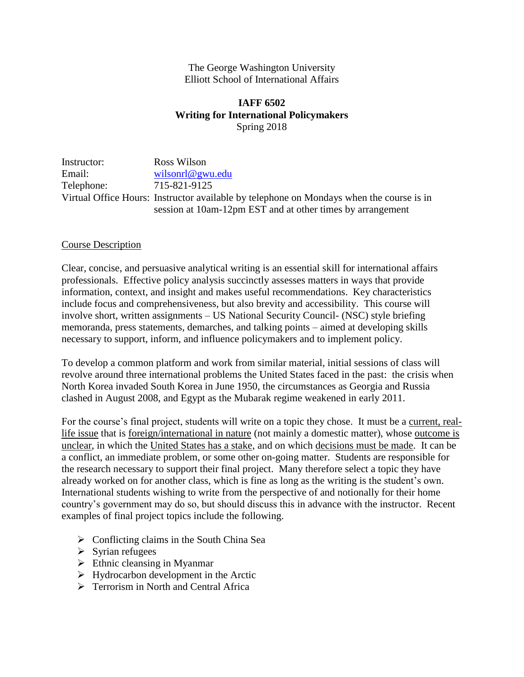#### The George Washington University Elliott School of International Affairs

## **IAFF 6502 Writing for International Policymakers** Spring 2018

Instructor: Ross Wilson Email: [wilsonrl@gwu.edu](mailto:wilsonrl@gwu.edu) Telephone: 715-821-9125 Virtual Office Hours: Instructor available by telephone on Mondays when the course is in session at 10am-12pm EST and at other times by arrangement

#### Course Description

Clear, concise, and persuasive analytical writing is an essential skill for international affairs professionals. Effective policy analysis succinctly assesses matters in ways that provide information, context, and insight and makes useful recommendations. Key characteristics include focus and comprehensiveness, but also brevity and accessibility. This course will involve short, written assignments – US National Security Council- (NSC) style briefing memoranda, press statements, demarches, and talking points – aimed at developing skills necessary to support, inform, and influence policymakers and to implement policy.

To develop a common platform and work from similar material, initial sessions of class will revolve around three international problems the United States faced in the past: the crisis when North Korea invaded South Korea in June 1950, the circumstances as Georgia and Russia clashed in August 2008, and Egypt as the Mubarak regime weakened in early 2011.

For the course's final project, students will write on a topic they chose. It must be a current, reallife issue that is foreign/international in nature (not mainly a domestic matter), whose outcome is unclear, in which the United States has a stake, and on which decisions must be made. It can be a conflict, an immediate problem, or some other on-going matter. Students are responsible for the research necessary to support their final project. Many therefore select a topic they have already worked on for another class, which is fine as long as the writing is the student's own. International students wishing to write from the perspective of and notionally for their home country's government may do so, but should discuss this in advance with the instructor. Recent examples of final project topics include the following.

- $\triangleright$  Conflicting claims in the South China Sea
- ➢ Syrian refugees
- $\triangleright$  Ethnic cleansing in Myanmar
- $\triangleright$  Hydrocarbon development in the Arctic
- ➢ Terrorism in North and Central Africa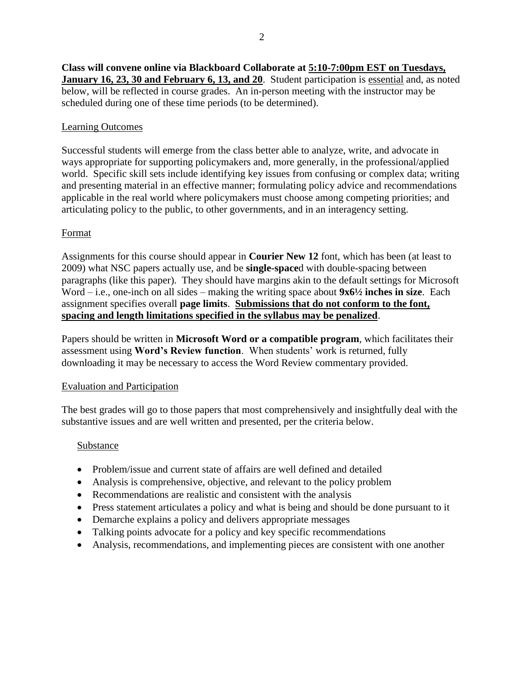**Class will convene online via Blackboard Collaborate at 5:10-7:00pm EST on Tuesdays, January 16, 23, 30 and February 6, 13, and 20**. Student participation is essential and, as noted below, will be reflected in course grades. An in-person meeting with the instructor may be scheduled during one of these time periods (to be determined).

#### Learning Outcomes

Successful students will emerge from the class better able to analyze, write, and advocate in ways appropriate for supporting policymakers and, more generally, in the professional/applied world. Specific skill sets include identifying key issues from confusing or complex data; writing and presenting material in an effective manner; formulating policy advice and recommendations applicable in the real world where policymakers must choose among competing priorities; and articulating policy to the public, to other governments, and in an interagency setting.

#### Format

Assignments for this course should appear in **Courier New 12** font, which has been (at least to 2009) what NSC papers actually use, and be **single-space**d with double-spacing between paragraphs (like this paper). They should have margins akin to the default settings for Microsoft Word – i.e., one-inch on all sides – making the writing space about **9x6½ inches in size**. Each assignment specifies overall **page limits**. **Submissions that do not conform to the font, spacing and length limitations specified in the syllabus may be penalized**.

Papers should be written in **Microsoft Word or a compatible program**, which facilitates their assessment using **Word's Review function**. When students' work is returned, fully downloading it may be necessary to access the Word Review commentary provided.

#### Evaluation and Participation

The best grades will go to those papers that most comprehensively and insightfully deal with the substantive issues and are well written and presented, per the criteria below.

#### Substance

- Problem/issue and current state of affairs are well defined and detailed
- Analysis is comprehensive, objective, and relevant to the policy problem
- Recommendations are realistic and consistent with the analysis
- Press statement articulates a policy and what is being and should be done pursuant to it
- Demarche explains a policy and delivers appropriate messages
- Talking points advocate for a policy and key specific recommendations
- Analysis, recommendations, and implementing pieces are consistent with one another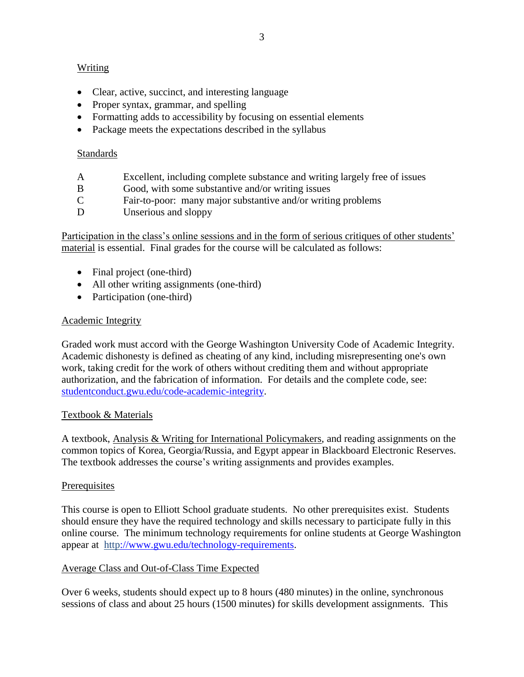#### Writing

- Clear, active, succinct, and interesting language
- Proper syntax, grammar, and spelling
- Formatting adds to accessibility by focusing on essential elements
- Package meets the expectations described in the syllabus

#### Standards

- A Excellent, including complete substance and writing largely free of issues
- B Good, with some substantive and/or writing issues
- C Fair-to-poor: many major substantive and/or writing problems<br>D Unserious and sloppy
- Unserious and sloppy

Participation in the class's online sessions and in the form of serious critiques of other students' material is essential. Final grades for the course will be calculated as follows:

- Final project (one-third)
- All other writing assignments (one-third)
- Participation (one-third)

#### Academic Integrity

Graded work must accord with the George Washington University Code of Academic Integrity. Academic dishonesty is defined as cheating of any kind, including misrepresenting one's own work, taking credit for the work of others without crediting them and without appropriate authorization, and the fabrication of information. For details and the complete code, see: studentconduct.gwu.edu/code-academic-integrity.

#### Textbook & Materials

A textbook, Analysis & Writing for International Policymakers, and reading assignments on the common topics of Korea, Georgia/Russia, and Egypt appear in Blackboard Electronic Reserves. The textbook addresses the course's writing assignments and provides examples.

#### **Prerequisites**

This course is open to Elliott School graduate students. No other prerequisites exist. Students should ensure they have the required technology and skills necessary to participate fully in this online course. The minimum technology requirements for online students at George Washington appear at [http://www.gwu.edu/technology-requirements.](http://www.gwu.edu/technology-requirements)

## Average Class and Out-of-Class Time Expected

Over 6 weeks, students should expect up to 8 hours (480 minutes) in the online, synchronous sessions of class and about 25 hours (1500 minutes) for skills development assignments. This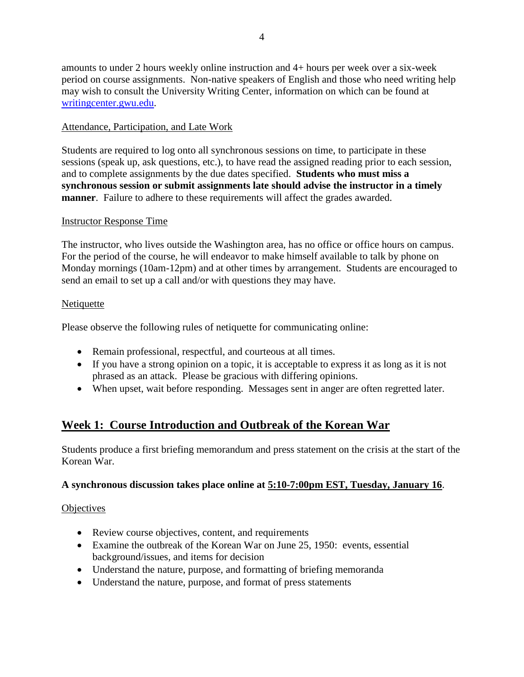4

amounts to under 2 hours weekly online instruction and 4+ hours per week over a six-week period on course assignments. Non-native speakers of English and those who need writing help may wish to consult the University Writing Center, information on which can be found at writingcenter.gwu.edu.

## Attendance, Participation, and Late Work

Students are required to log onto all synchronous sessions on time, to participate in these sessions (speak up, ask questions, etc.), to have read the assigned reading prior to each session, and to complete assignments by the due dates specified. **Students who must miss a synchronous session or submit assignments late should advise the instructor in a timely manner**. Failure to adhere to these requirements will affect the grades awarded.

## Instructor Response Time

The instructor, who lives outside the Washington area, has no office or office hours on campus. For the period of the course, he will endeavor to make himself available to talk by phone on Monday mornings (10am-12pm) and at other times by arrangement. Students are encouraged to send an email to set up a call and/or with questions they may have.

#### **Netiquette**

Please observe the following rules of netiquette for communicating online:

- Remain professional, respectful, and courteous at all times.
- If you have a strong opinion on a topic, it is acceptable to express it as long as it is not phrased as an attack. Please be gracious with differing opinions.
- When upset, wait before responding. Messages sent in anger are often regretted later.

# **Week 1: Course Introduction and Outbreak of the Korean War**

Students produce a first briefing memorandum and press statement on the crisis at the start of the Korean War.

## **A synchronous discussion takes place online at 5:10-7:00pm EST, Tuesday, January 16**.

## **Objectives**

- Review course objectives, content, and requirements
- Examine the outbreak of the Korean War on June 25, 1950: events, essential background/issues, and items for decision
- Understand the nature, purpose, and formatting of briefing memoranda
- Understand the nature, purpose, and format of press statements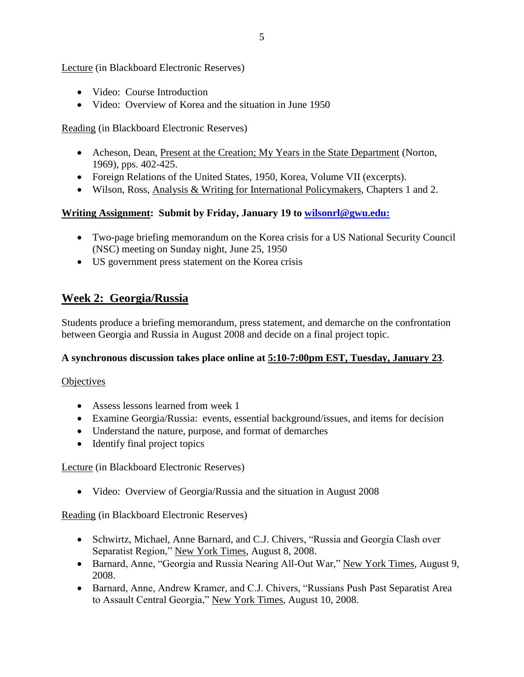Lecture (in Blackboard Electronic Reserves)

- Video: Course Introduction
- Video: Overview of Korea and the situation in June 1950

Reading (in Blackboard Electronic Reserves)

- Acheson, Dean, Present at the Creation; My Years in the State Department (Norton, 1969), pps. 402-425.
- Foreign Relations of the United States, 1950, Korea, Volume VII (excerpts).
- Wilson, Ross, Analysis & Writing for International Policymakers, Chapters 1 and 2.

## **Writing Assignment: Submit by Friday, January 19 to [wilsonrl@gwu.edu:](mailto:wilsonrl@gwu.edu)**

- Two-page briefing memorandum on the Korea crisis for a US National Security Council (NSC) meeting on Sunday night, June 25, 1950
- US government press statement on the Korea crisis

# **Week 2: Georgia/Russia**

Students produce a briefing memorandum, press statement, and demarche on the confrontation between Georgia and Russia in August 2008 and decide on a final project topic.

## **A synchronous discussion takes place online at 5:10-7:00pm EST, Tuesday, January 23**.

#### **Objectives**

- Assess lessons learned from week 1
- Examine Georgia/Russia: events, essential background/issues, and items for decision
- Understand the nature, purpose, and format of demarches
- Identify final project topics

Lecture (in Blackboard Electronic Reserves)

• Video: Overview of Georgia/Russia and the situation in August 2008

Reading (in Blackboard Electronic Reserves)

- Schwirtz, Michael, Anne Barnard, and C.J. Chivers, "Russia and Georgia Clash over Separatist Region," New York Times, August 8, 2008.
- Barnard, Anne, "Georgia and Russia Nearing All-Out War," New York Times, August 9, 2008.
- Barnard, Anne, Andrew Kramer, and C.J. Chivers, "Russians Push Past Separatist Area to Assault Central Georgia," New York Times, August 10, 2008.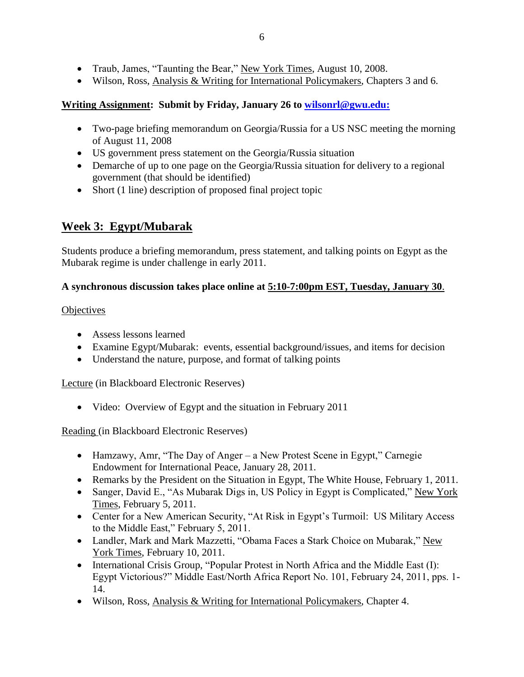- Traub, James, "Taunting the Bear," New York Times, August 10, 2008.
- Wilson, Ross, Analysis & Writing for International Policymakers, Chapters 3 and 6.

#### **Writing Assignment: Submit by Friday, January 26 to [wilsonrl@gwu.edu:](mailto:wilsonrl@gwu.edu)**

- Two-page briefing memorandum on Georgia/Russia for a US NSC meeting the morning of August 11, 2008
- US government press statement on the Georgia/Russia situation
- Demarche of up to one page on the Georgia/Russia situation for delivery to a regional government (that should be identified)
- Short (1 line) description of proposed final project topic

## **Week 3: Egypt/Mubarak**

Students produce a briefing memorandum, press statement, and talking points on Egypt as the Mubarak regime is under challenge in early 2011.

#### **A synchronous discussion takes place online at 5:10-7:00pm EST, Tuesday, January 30**.

#### **Objectives**

- Assess lessons learned
- Examine Egypt/Mubarak: events, essential background/issues, and items for decision
- Understand the nature, purpose, and format of talking points

Lecture (in Blackboard Electronic Reserves)

• Video: Overview of Egypt and the situation in February 2011

## Reading (in Blackboard Electronic Reserves)

- Hamzawy, Amr, "The Day of Anger a New Protest Scene in Egypt," Carnegie Endowment for International Peace, January 28, 2011.
- Remarks by the President on the Situation in Egypt, The White House, February 1, 2011.
- Sanger, David E., "As Mubarak Digs in, US Policy in Egypt is Complicated," New York Times, February 5, 2011.
- Center for a New American Security, "At Risk in Egypt's Turmoil: US Military Access to the Middle East," February 5, 2011.
- Landler, Mark and Mark Mazzetti, "Obama Faces a Stark Choice on Mubarak," New York Times, February 10, 2011.
- International Crisis Group, "Popular Protest in North Africa and the Middle East (I): Egypt Victorious?" Middle East/North Africa Report No. 101, February 24, 2011, pps. 1- 14.
- Wilson, Ross, Analysis & Writing for International Policymakers, Chapter 4.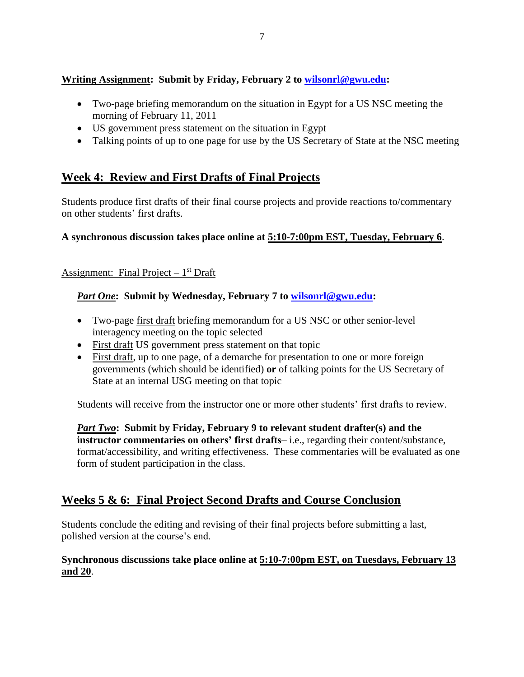## **Writing Assignment: Submit by Friday, February 2 to [wilsonrl@gwu.edu:](mailto:wilsonrl@gwu.edu)**

- Two-page briefing memorandum on the situation in Egypt for a US NSC meeting the morning of February 11, 2011
- US government press statement on the situation in Egypt
- Talking points of up to one page for use by the US Secretary of State at the NSC meeting

# **Week 4: Review and First Drafts of Final Projects**

Students produce first drafts of their final course projects and provide reactions to/commentary on other students' first drafts.

## **A synchronous discussion takes place online at 5:10-7:00pm EST, Tuesday, February 6**.

## Assignment: Final Project – 1<sup>st</sup> Draft

## *Part One***: Submit by Wednesday, February 7 to [wilsonrl@gwu.edu:](mailto:wilsonrl@gwu.edu)**

- Two-page first draft briefing memorandum for a US NSC or other senior-level interagency meeting on the topic selected
- First draft US government press statement on that topic
- First draft, up to one page, of a demarche for presentation to one or more foreign governments (which should be identified) **or** of talking points for the US Secretary of State at an internal USG meeting on that topic

Students will receive from the instructor one or more other students' first drafts to review.

*Part Two***: Submit by Friday, February 9 to relevant student drafter(s) and the instructor commentaries on others' first drafts**– i.e., regarding their content/substance, format/accessibility, and writing effectiveness. These commentaries will be evaluated as one form of student participation in the class.

## **Weeks 5 & 6: Final Project Second Drafts and Course Conclusion**

Students conclude the editing and revising of their final projects before submitting a last, polished version at the course's end.

**Synchronous discussions take place online at 5:10-7:00pm EST, on Tuesdays, February 13 and 20**.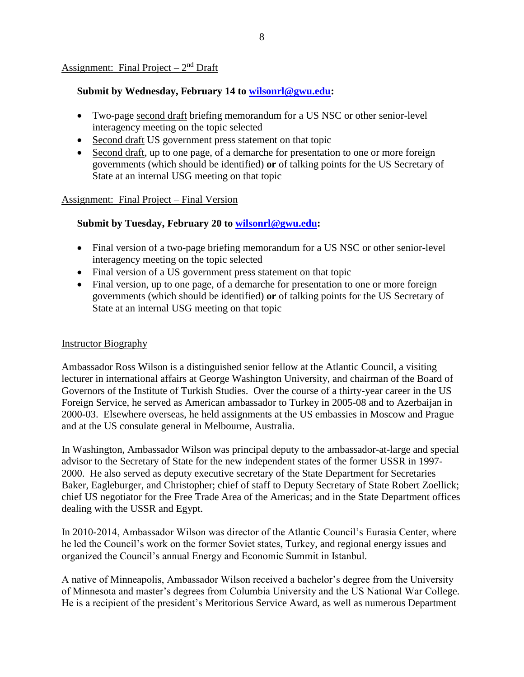#### Assignment: Final Project – 2<sup>nd</sup> Draft

#### **Submit by Wednesday, February 14 to [wilsonrl@gwu.edu:](mailto:wilsonrl@gwu.edu)**

- Two-page second draft briefing memorandum for a US NSC or other senior-level interagency meeting on the topic selected
- Second draft US government press statement on that topic
- Second draft, up to one page, of a demarche for presentation to one or more foreign governments (which should be identified) **or** of talking points for the US Secretary of State at an internal USG meeting on that topic

#### Assignment: Final Project – Final Version

#### **Submit by Tuesday, February 20 to [wilsonrl@gwu.edu:](mailto:wilsonrl@gwu.edu)**

- Final version of a two-page briefing memorandum for a US NSC or other senior-level interagency meeting on the topic selected
- Final version of a US government press statement on that topic
- Final version, up to one page, of a demarche for presentation to one or more foreign governments (which should be identified) **or** of talking points for the US Secretary of State at an internal USG meeting on that topic

#### Instructor Biography

Ambassador Ross Wilson is a distinguished senior fellow at the Atlantic Council, a visiting lecturer in international affairs at George Washington University, and chairman of the Board of Governors of the Institute of Turkish Studies. Over the course of a thirty-year career in the US Foreign Service, he served as American ambassador to Turkey in 2005-08 and to Azerbaijan in 2000-03. Elsewhere overseas, he held assignments at the US embassies in Moscow and Prague and at the US consulate general in Melbourne, Australia.

In Washington, Ambassador Wilson was principal deputy to the ambassador-at-large and special advisor to the Secretary of State for the new independent states of the former USSR in 1997- 2000. He also served as deputy executive secretary of the State Department for Secretaries Baker, Eagleburger, and Christopher; chief of staff to Deputy Secretary of State Robert Zoellick; chief US negotiator for the Free Trade Area of the Americas; and in the State Department offices dealing with the USSR and Egypt.

In 2010-2014, Ambassador Wilson was director of the Atlantic Council's Eurasia Center, where he led the Council's work on the former Soviet states, Turkey, and regional energy issues and organized the Council's annual Energy and Economic Summit in Istanbul.

A native of Minneapolis, Ambassador Wilson received a bachelor's degree from the University of Minnesota and master's degrees from Columbia University and the US National War College. He is a recipient of the president's Meritorious Service Award, as well as numerous Department